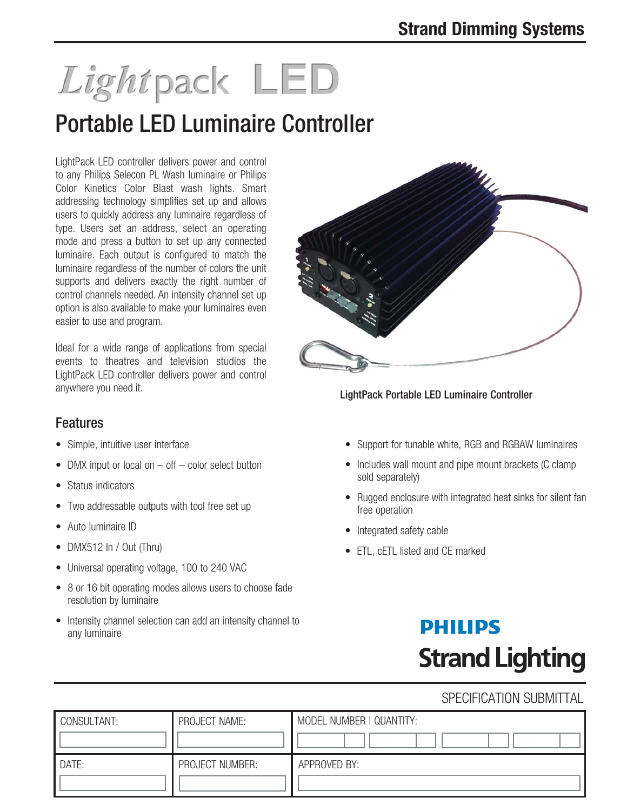# Lightpack LED

## Portable LED Luminaire Controller

LightPack LED controller delivers power and control to any Philips Selecon PL Wash luminaire or Philips Color Kinetics Color Blast wash lights. Smart addressing technology simplifies set up and allows users to quickly address any luminaire regardless of type. Users set an address, select an operating mode and press a button to set up any connected luminaire. Each output is configured to match the luminaire regardless of the number of colors the unit supports and delivers exactly the right number of control channels needed. An intensity channel set up option is also available to make your luminaires even easier to use and program.

Ideal for a wide range of applications from special events to theatres and television studios the LightPack LED controller delivers power and control anywhere you need it.

### Features

- Simple, intuitive user interface
- DMX input or local on off color select button
- Status indicators
- Two addressable outputs with tool free set up
- Auto luminaire ID
- DMX512 In / Out (Thru)
- Universal operating voltage, 100 to 240 VAC
- 8 or 16 bit operating modes allows users to choose fade resolution by luminaire
- Intensity channel selection can add an intensity channel to any luminaire



LightPack Portable LED Luminaire Controller

- Support for tunable white, RGB and RGBAW luminaires
- Includes wall mount and pipe mount brackets (C clamp sold separately)
- Rugged enclosure with integrated heat sinks for silent fan free operation
- Integrated safety cable
- ETL, cETL listed and CE marked

## **PHILIPS Strand Lighting**

### SPECIFICATION SUBMITTAL

| CONSULTANT: | PROJECT NAME:   | MODEL NUMBER   QUANTITY: |
|-------------|-----------------|--------------------------|
| DATE:       | PROJECT NUMBER: | APPROVED BY:             |